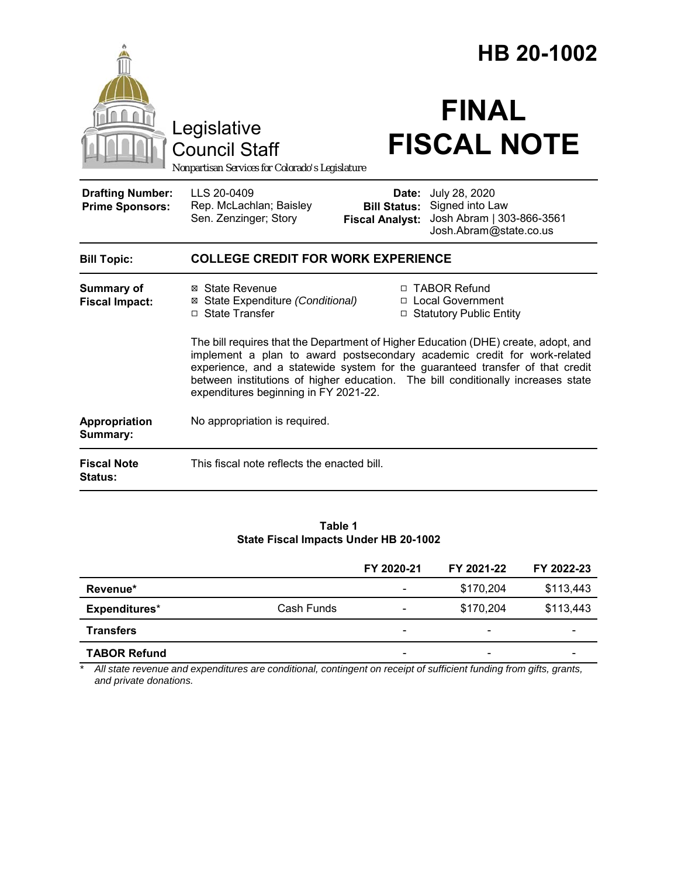|                                                                 | HB 20-1002                                    |                                                                                                                                                                                                                                                                                                                                                                                                                                                                                                                                                      |  |
|-----------------------------------------------------------------|-----------------------------------------------|------------------------------------------------------------------------------------------------------------------------------------------------------------------------------------------------------------------------------------------------------------------------------------------------------------------------------------------------------------------------------------------------------------------------------------------------------------------------------------------------------------------------------------------------------|--|
| Legislative<br><b>Council Staff</b>                             |                                               | <b>FINAL</b><br><b>FISCAL NOTE</b>                                                                                                                                                                                                                                                                                                                                                                                                                                                                                                                   |  |
| LLS 20-0409<br>Rep. McLachlan; Baisley<br>Sen. Zenzinger; Story | <b>Bill Status:</b><br><b>Fiscal Analyst:</b> | Date: July 28, 2020<br>Signed into Law<br>Josh Abram   303-866-3561<br>Josh.Abram@state.co.us                                                                                                                                                                                                                                                                                                                                                                                                                                                        |  |
| <b>COLLEGE CREDIT FOR WORK EXPERIENCE</b>                       |                                               |                                                                                                                                                                                                                                                                                                                                                                                                                                                                                                                                                      |  |
| ⊠ State Revenue<br>□ State Transfer                             |                                               | □ TABOR Refund<br>□ Local Government<br>□ Statutory Public Entity                                                                                                                                                                                                                                                                                                                                                                                                                                                                                    |  |
|                                                                 |                                               |                                                                                                                                                                                                                                                                                                                                                                                                                                                                                                                                                      |  |
|                                                                 |                                               |                                                                                                                                                                                                                                                                                                                                                                                                                                                                                                                                                      |  |
|                                                                 |                                               |                                                                                                                                                                                                                                                                                                                                                                                                                                                                                                                                                      |  |
|                                                                 |                                               | Nonpartisan Services for Colorado's Legislature<br>⊠ State Expenditure (Conditional)<br>The bill requires that the Department of Higher Education (DHE) create, adopt, and<br>implement a plan to award postsecondary academic credit for work-related<br>experience, and a statewide system for the guaranteed transfer of that credit<br>between institutions of higher education. The bill conditionally increases state<br>expenditures beginning in FY 2021-22.<br>No appropriation is required.<br>This fiscal note reflects the enacted bill. |  |

**Table 1 State Fiscal Impacts Under HB 20-1002**

|                     |            | FY 2020-21               | FY 2021-22               | FY 2022-23 |
|---------------------|------------|--------------------------|--------------------------|------------|
| Revenue*            |            | $\overline{\phantom{a}}$ | \$170,204                | \$113,443  |
| Expenditures*       | Cash Funds | $\overline{\phantom{a}}$ | \$170,204                | \$113,443  |
| <b>Transfers</b>    |            |                          |                          |            |
| <b>TABOR Refund</b> |            | $\overline{\phantom{0}}$ | $\overline{\phantom{0}}$ |            |

*\* All state revenue and expenditures are conditional, contingent on receipt of sufficient funding from gifts, grants, and private donations.*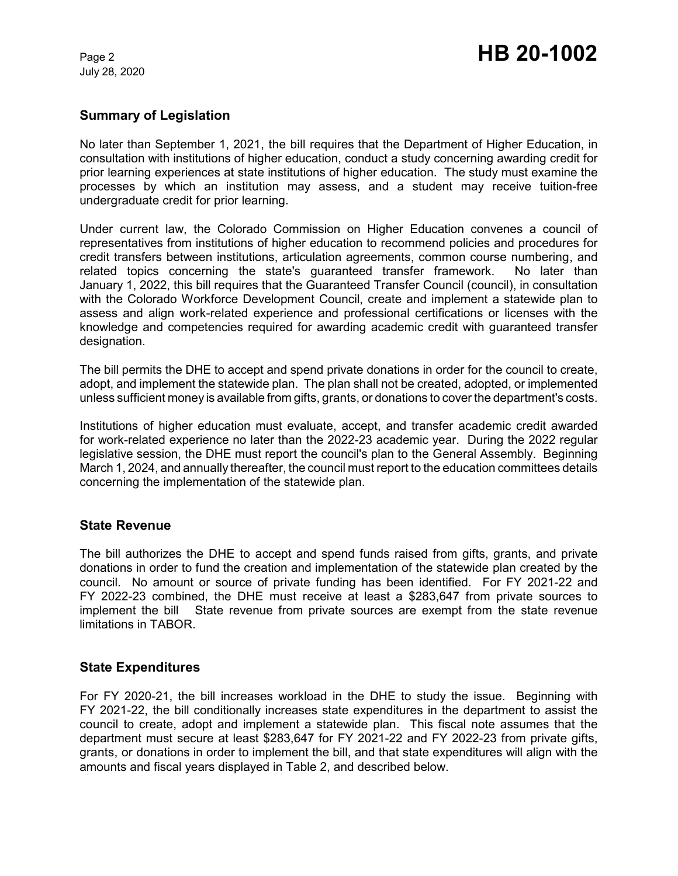July 28, 2020

### **Summary of Legislation**

No later than September 1, 2021, the bill requires that the Department of Higher Education, in consultation with institutions of higher education, conduct a study concerning awarding credit for prior learning experiences at state institutions of higher education. The study must examine the processes by which an institution may assess, and a student may receive tuition-free undergraduate credit for prior learning.

Under current law, the Colorado Commission on Higher Education convenes a council of representatives from institutions of higher education to recommend policies and procedures for credit transfers between institutions, articulation agreements, common course numbering, and related topics concerning the state's guaranteed transfer framework. No later than January 1, 2022, this bill requires that the Guaranteed Transfer Council (council), in consultation with the Colorado Workforce Development Council, create and implement a statewide plan to assess and align work-related experience and professional certifications or licenses with the knowledge and competencies required for awarding academic credit with guaranteed transfer designation.

The bill permits the DHE to accept and spend private donations in order for the council to create, adopt, and implement the statewide plan. The plan shall not be created, adopted, or implemented unless sufficient money is available from gifts, grants, or donations to cover the department's costs.

Institutions of higher education must evaluate, accept, and transfer academic credit awarded for work-related experience no later than the 2022-23 academic year. During the 2022 regular legislative session, the DHE must report the council's plan to the General Assembly. Beginning March 1, 2024, and annually thereafter, the council must report to the education committees details concerning the implementation of the statewide plan.

### **State Revenue**

The bill authorizes the DHE to accept and spend funds raised from gifts, grants, and private donations in order to fund the creation and implementation of the statewide plan created by the council. No amount or source of private funding has been identified. For FY 2021-22 and FY 2022-23 combined, the DHE must receive at least a \$283,647 from private sources to implement the bill State revenue from private sources are exempt from the state revenue limitations in TABOR.

### **State Expenditures**

For FY 2020-21, the bill increases workload in the DHE to study the issue. Beginning with FY 2021-22, the bill conditionally increases state expenditures in the department to assist the council to create, adopt and implement a statewide plan. This fiscal note assumes that the department must secure at least \$283,647 for FY 2021-22 and FY 2022-23 from private gifts, grants, or donations in order to implement the bill, and that state expenditures will align with the amounts and fiscal years displayed in Table 2, and described below.